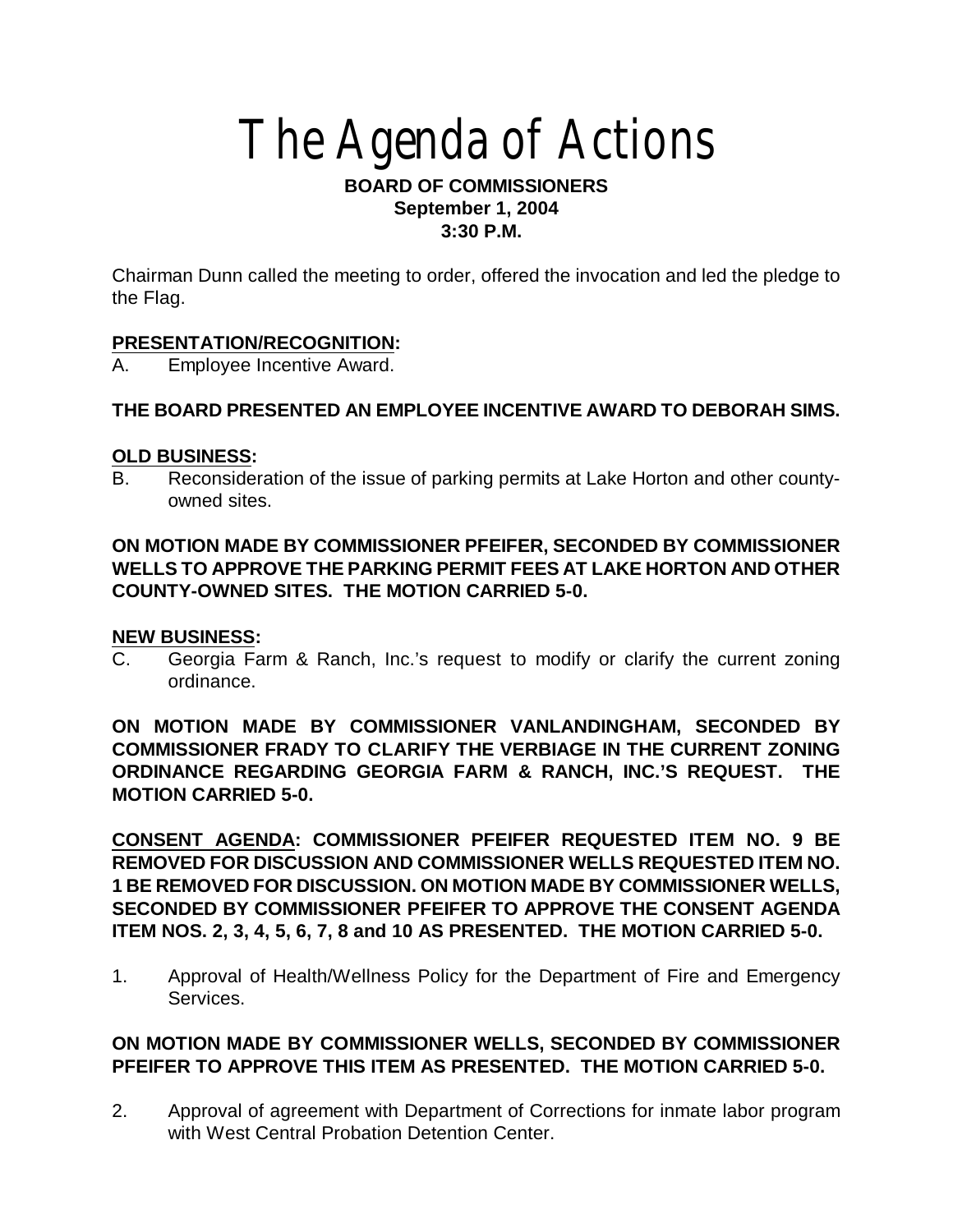# The Agenda of Actions

## **BOARD OF COMMISSIONERS September 1, 2004 3:30 P.M.**

Chairman Dunn called the meeting to order, offered the invocation and led the pledge to the Flag.

# **PRESENTATION/RECOGNITION:**

A. Employee Incentive Award.

# **THE BOARD PRESENTED AN EMPLOYEE INCENTIVE AWARD TO DEBORAH SIMS.**

## **OLD BUSINESS:**

B. Reconsideration of the issue of parking permits at Lake Horton and other countyowned sites.

## **ON MOTION MADE BY COMMISSIONER PFEIFER, SECONDED BY COMMISSIONER WELLS TO APPROVE THE PARKING PERMIT FEES AT LAKE HORTON AND OTHER COUNTY-OWNED SITES. THE MOTION CARRIED 5-0.**

#### **NEW BUSINESS:**

C. Georgia Farm & Ranch, Inc.'s request to modify or clarify the current zoning ordinance.

**ON MOTION MADE BY COMMISSIONER VANLANDINGHAM, SECONDED BY COMMISSIONER FRADY TO CLARIFY THE VERBIAGE IN THE CURRENT ZONING ORDINANCE REGARDING GEORGIA FARM & RANCH, INC.'S REQUEST. THE MOTION CARRIED 5-0.**

**CONSENT AGENDA: COMMISSIONER PFEIFER REQUESTED ITEM NO. 9 BE REMOVED FOR DISCUSSION AND COMMISSIONER WELLS REQUESTED ITEM NO. 1 BE REMOVED FOR DISCUSSION. ON MOTION MADE BY COMMISSIONER WELLS, SECONDED BY COMMISSIONER PFEIFER TO APPROVE THE CONSENT AGENDA ITEM NOS. 2, 3, 4, 5, 6, 7, 8 and 10 AS PRESENTED. THE MOTION CARRIED 5-0.**

1. Approval of Health/Wellness Policy for the Department of Fire and Emergency Services.

# **ON MOTION MADE BY COMMISSIONER WELLS, SECONDED BY COMMISSIONER PFEIFER TO APPROVE THIS ITEM AS PRESENTED. THE MOTION CARRIED 5-0.**

2. Approval of agreement with Department of Corrections for inmate labor program with West Central Probation Detention Center.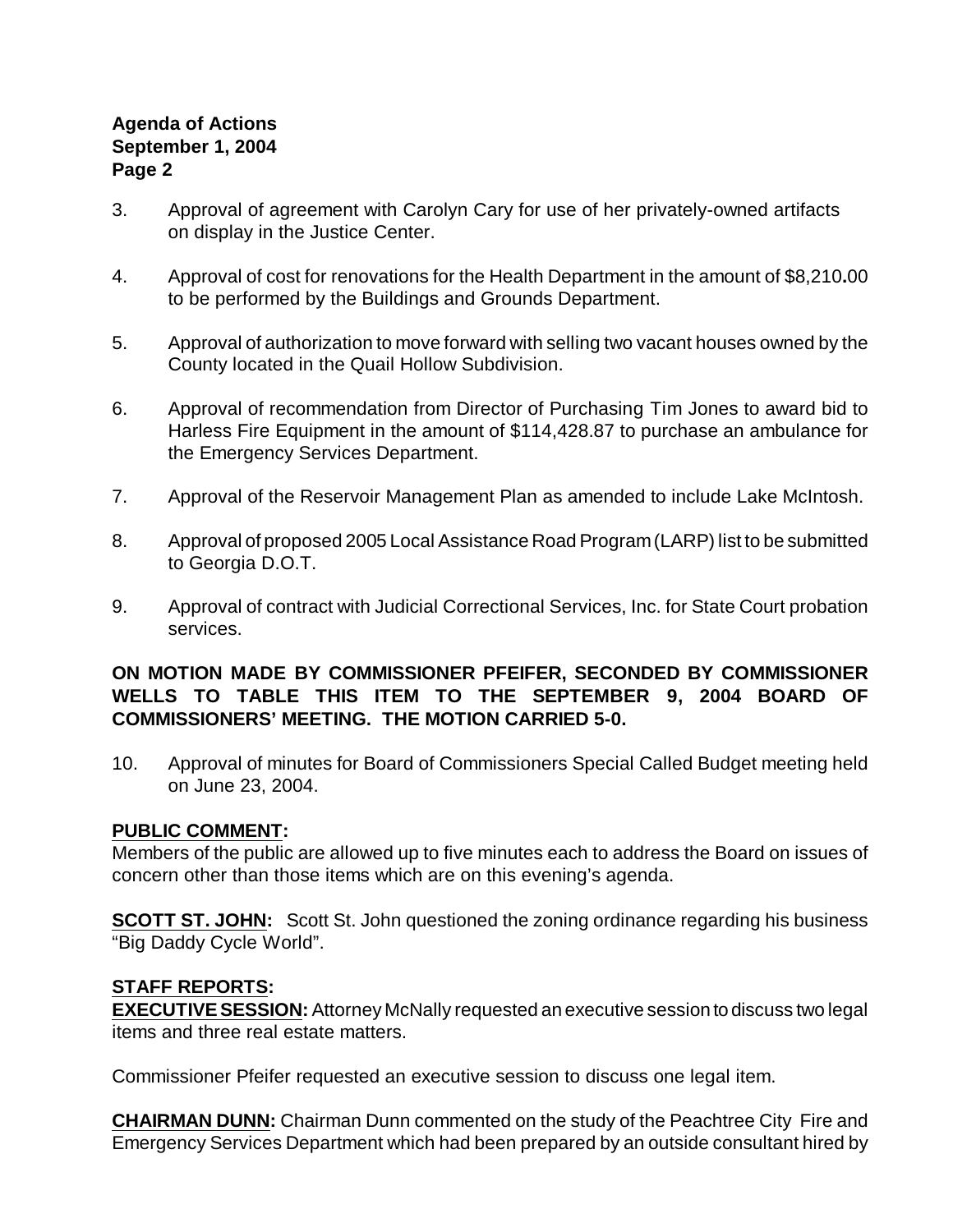## **Agenda of Actions September 1, 2004 Page 2**

- 3. Approval of agreement with Carolyn Cary for use of her privately-owned artifacts on display in the Justice Center.
- 4. Approval of cost for renovations for the Health Department in the amount of \$8,210**.**00 to be performed by the Buildings and Grounds Department.
- 5. Approval of authorization to move forward with selling two vacant houses owned by the County located in the Quail Hollow Subdivision.
- 6. Approval of recommendation from Director of Purchasing Tim Jones to award bid to Harless Fire Equipment in the amount of \$114,428.87 to purchase an ambulance for the Emergency Services Department.
- 7. Approval of the Reservoir Management Plan as amended to include Lake McIntosh.
- 8. Approval of proposed 2005 Local Assistance Road Program (LARP) list to be submitted to Georgia D.O.T.
- 9. Approval of contract with Judicial Correctional Services, Inc. for State Court probation services.

## **ON MOTION MADE BY COMMISSIONER PFEIFER, SECONDED BY COMMISSIONER WELLS TO TABLE THIS ITEM TO THE SEPTEMBER 9, 2004 BOARD OF COMMISSIONERS' MEETING. THE MOTION CARRIED 5-0.**

10. Approval of minutes for Board of Commissioners Special Called Budget meeting held on June 23, 2004.

#### **PUBLIC COMMENT:**

Members of the public are allowed up to five minutes each to address the Board on issues of concern other than those items which are on this evening's agenda.

**SCOTT ST. JOHN:** Scott St. John questioned the zoning ordinance regarding his business "Big Daddy Cycle World".

## **STAFF REPORTS:**

**EXECUTIVE SESSION:** Attorney McNally requested an executive session to discuss two legal items and three real estate matters.

Commissioner Pfeifer requested an executive session to discuss one legal item.

**CHAIRMAN DUNN:** Chairman Dunn commented on the study of the Peachtree City Fire and Emergency Services Department which had been prepared by an outside consultant hired by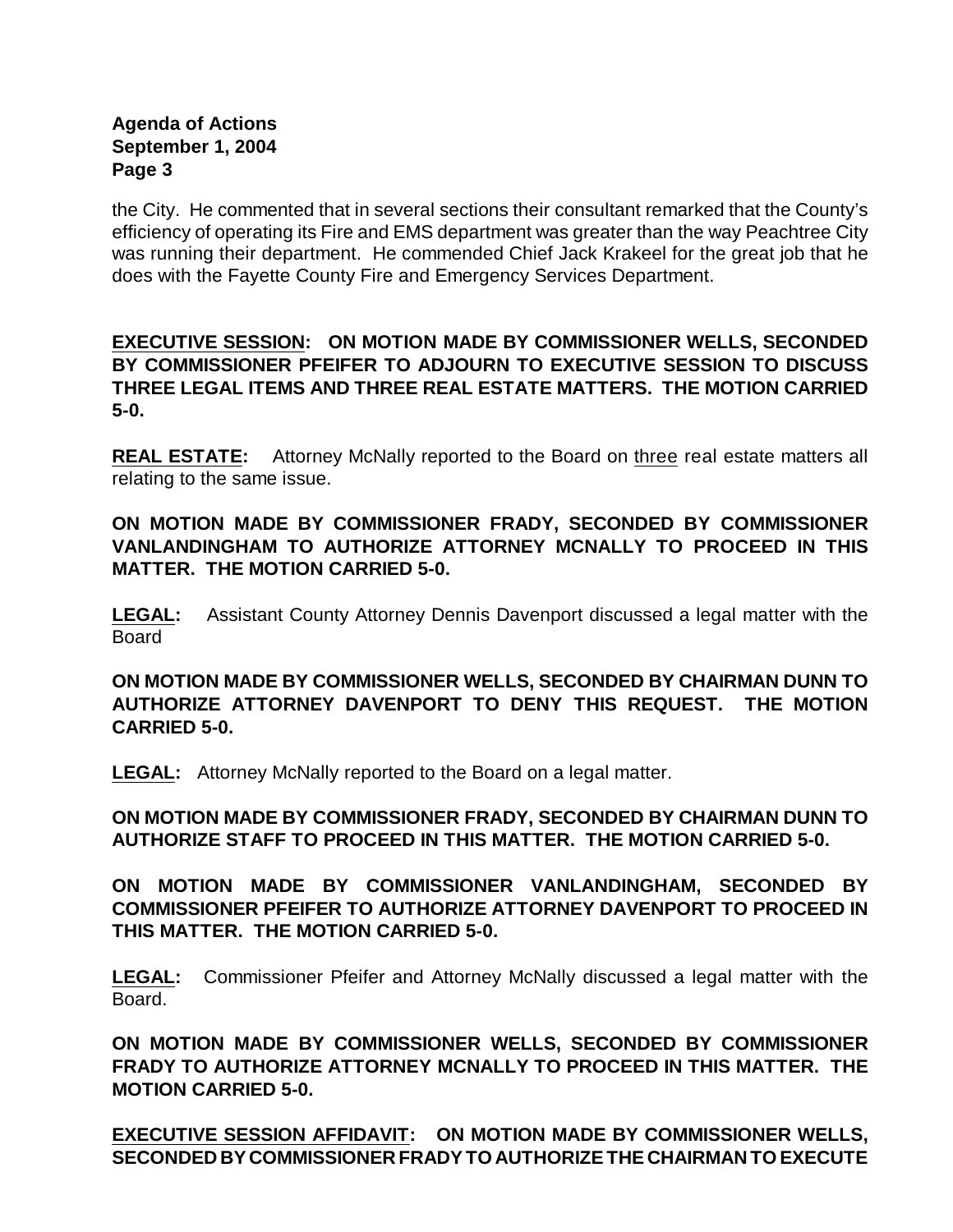#### **Agenda of Actions September 1, 2004 Page 3**

the City. He commented that in several sections their consultant remarked that the County's efficiency of operating its Fire and EMS department was greater than the way Peachtree City was running their department. He commended Chief Jack Krakeel for the great job that he does with the Fayette County Fire and Emergency Services Department.

## **EXECUTIVE SESSION: ON MOTION MADE BY COMMISSIONER WELLS, SECONDED BY COMMISSIONER PFEIFER TO ADJOURN TO EXECUTIVE SESSION TO DISCUSS THREE LEGAL ITEMS AND THREE REAL ESTATE MATTERS. THE MOTION CARRIED 5-0.**

**REAL ESTATE:** Attorney McNally reported to the Board on three real estate matters all relating to the same issue.

## **ON MOTION MADE BY COMMISSIONER FRADY, SECONDED BY COMMISSIONER VANLANDINGHAM TO AUTHORIZE ATTORNEY MCNALLY TO PROCEED IN THIS MATTER. THE MOTION CARRIED 5-0.**

**LEGAL:** Assistant County Attorney Dennis Davenport discussed a legal matter with the Board

## **ON MOTION MADE BY COMMISSIONER WELLS, SECONDED BY CHAIRMAN DUNN TO AUTHORIZE ATTORNEY DAVENPORT TO DENY THIS REQUEST. THE MOTION CARRIED 5-0.**

**LEGAL:** Attorney McNally reported to the Board on a legal matter.

## **ON MOTION MADE BY COMMISSIONER FRADY, SECONDED BY CHAIRMAN DUNN TO AUTHORIZE STAFF TO PROCEED IN THIS MATTER. THE MOTION CARRIED 5-0.**

**ON MOTION MADE BY COMMISSIONER VANLANDINGHAM, SECONDED BY COMMISSIONER PFEIFER TO AUTHORIZE ATTORNEY DAVENPORT TO PROCEED IN THIS MATTER. THE MOTION CARRIED 5-0.**

**LEGAL:** Commissioner Pfeifer and Attorney McNally discussed a legal matter with the Board.

**ON MOTION MADE BY COMMISSIONER WELLS, SECONDED BY COMMISSIONER FRADY TO AUTHORIZE ATTORNEY MCNALLY TO PROCEED IN THIS MATTER. THE MOTION CARRIED 5-0.**

**EXECUTIVE SESSION AFFIDAVIT: ON MOTION MADE BY COMMISSIONER WELLS, SECONDED BY COMMISSIONER FRADY TO AUTHORIZE THE CHAIRMAN TO EXECUTE**